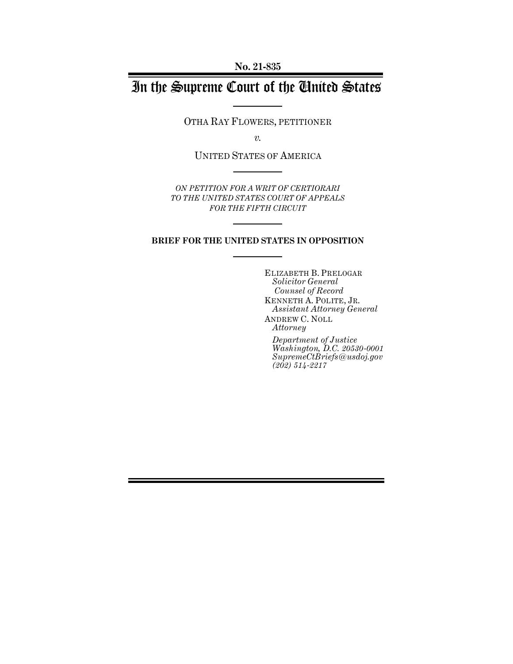**No. 21-835**

# In the Supreme Court of the United States

OTHA RAY FLOWERS, PETITIONER

*v.*

UNITED STATES OF AMERICA

*ON PETITION FOR A WRIT OF CERTIORARI TO THE UNITED STATES COURT OF APPEALS FOR THE FIFTH CIRCUIT*

### **BRIEF FOR THE UNITED STATES IN OPPOSITION**

ELIZABETH B. PRELOGAR *Solicitor General Counsel of Record* KENNETH A. POLITE, JR. *Assistant Attorney General* ANDREW C. NOLL *Attorney*

*Department of Justice Washington, D.C. 20530-0001 SupremeCtBriefs@usdoj.gov (202) 514-2217*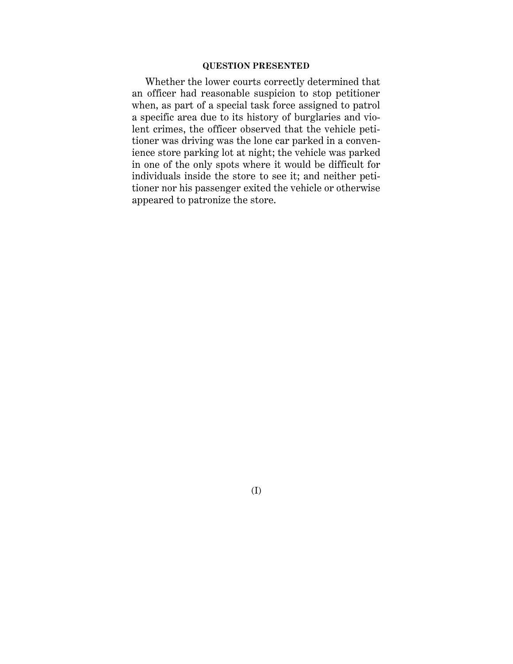### **QUESTION PRESENTED**

Whether the lower courts correctly determined that an officer had reasonable suspicion to stop petitioner when, as part of a special task force assigned to patrol a specific area due to its history of burglaries and violent crimes, the officer observed that the vehicle petitioner was driving was the lone car parked in a convenience store parking lot at night; the vehicle was parked in one of the only spots where it would be difficult for individuals inside the store to see it; and neither petitioner nor his passenger exited the vehicle or otherwise appeared to patronize the store.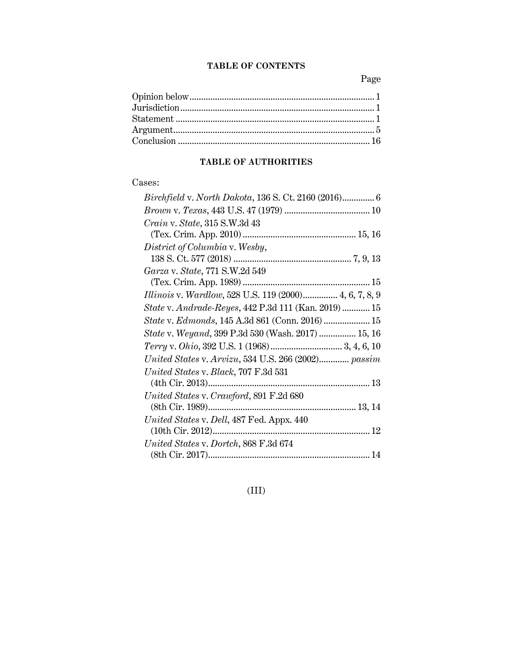### **TABLE OF CONTENTS**

Page

# **TABLE OF AUTHORITIES**

## Cases:

| <i>Crain v. State, 315 S.W.3d 43</i>                      |
|-----------------------------------------------------------|
|                                                           |
| District of Columbia v. Wesby,                            |
|                                                           |
| Garza v. State, 771 S.W.2d 549                            |
|                                                           |
| Illinois v. Wardlow, 528 U.S. 119 (2000) 4, 6, 7, 8, 9    |
| State v. Andrade-Reyes, 442 P.3d 111 (Kan. 2019)  15      |
| State v. Edmonds, 145 A.3d 861 (Conn. 2016)  15           |
| <i>State v. Weyand, 399 P.3d 530 (Wash. 2017) </i> 15, 16 |
|                                                           |
| United States v. Arvizu, 534 U.S. 266 (2002) passim       |
| United States v. Black, 707 F.3d 531                      |
|                                                           |
| United States v. Crawford, 891 F.2d 680                   |
|                                                           |
| United States v. Dell, 487 Fed. Appx. 440                 |
|                                                           |
| United States v. Dortch, 868 F.3d 674                     |
|                                                           |

(III)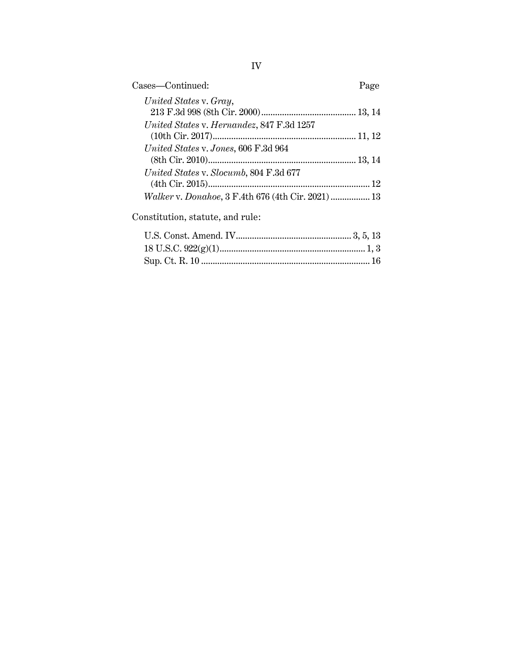| United States v. Gray,                             |  |
|----------------------------------------------------|--|
|                                                    |  |
| United States v. Hernandez, 847 F.3d 1257          |  |
| United States v. Jones, 606 F.3d 964               |  |
| United States v. Slocumb, 804 F.3d 677             |  |
| Walker v. Donahoe, 3 F.4th 676 (4th Cir. 2021)  13 |  |

Constitution, statute, and rule: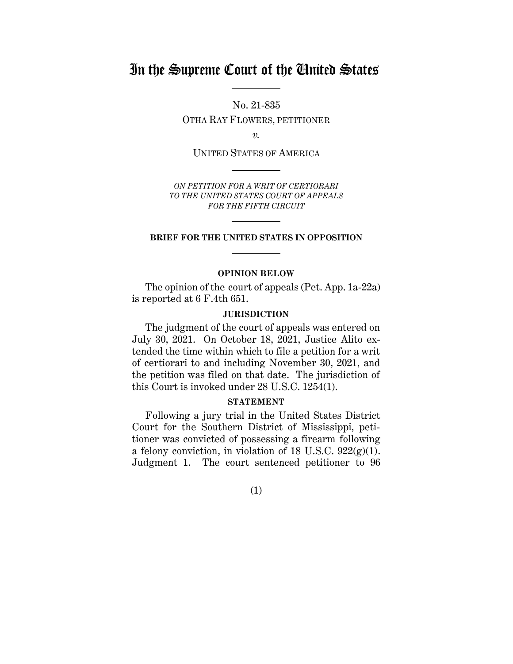# In the Supreme Court of the United States

No. 21-835 OTHA RAY FLOWERS, PETITIONER

*v.*

UNITED STATES OF AMERICA

*ON PETITION FOR A WRIT OF CERTIORARI TO THE UNITED STATES COURT OF APPEALS FOR THE FIFTH CIRCUIT*

#### **BRIEF FOR THE UNITED STATES IN OPPOSITION**

#### **OPINION BELOW**

<span id="page-4-0"></span>The opinion of the court of appeals (Pet. App. 1a-22a) is reported at 6 F.4th 651.

#### **JURISDICTION**

<span id="page-4-1"></span>The judgment of the court of appeals was entered on July 30, 2021. On October 18, 2021, Justice Alito extended the time within which to file a petition for a writ of certiorari to and including November 30, 2021, and the petition was filed on that date. The jurisdiction of this Court is invoked under 28 U.S.C. 1254(1).

#### **STATEMENT**

<span id="page-4-2"></span>Following a jury trial in the United States District Court for the Southern District of Mississippi, petitioner was convicted of possessing a firearm following a felony conviction, in violation of 18 U.S.C.  $922(g)(1)$ . Judgment 1. The court sentenced petitioner to 96

(1)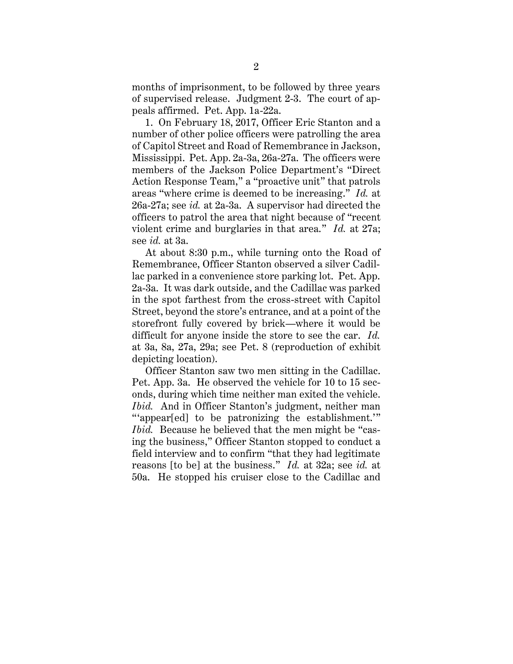months of imprisonment, to be followed by three years of supervised release. Judgment 2-3. The court of appeals affirmed. Pet. App. 1a-22a.

1. On February 18, 2017, Officer Eric Stanton and a number of other police officers were patrolling the area of Capitol Street and Road of Remembrance in Jackson, Mississippi. Pet. App. 2a-3a, 26a-27a. The officers were members of the Jackson Police Department's "Direct Action Response Team," a "proactive unit" that patrols areas "where crime is deemed to be increasing." *Id.* at 26a-27a; see *id.* at 2a-3a. A supervisor had directed the officers to patrol the area that night because of "recent violent crime and burglaries in that area." *Id.* at 27a; see *id.* at 3a.

At about 8:30 p.m., while turning onto the Road of Remembrance, Officer Stanton observed a silver Cadillac parked in a convenience store parking lot. Pet. App. 2a-3a. It was dark outside, and the Cadillac was parked in the spot farthest from the cross-street with Capitol Street, beyond the store's entrance, and at a point of the storefront fully covered by brick—where it would be difficult for anyone inside the store to see the car. *Id.* at 3a, 8a, 27a, 29a; see Pet. 8 (reproduction of exhibit depicting location).

Officer Stanton saw two men sitting in the Cadillac. Pet. App. 3a. He observed the vehicle for 10 to 15 seconds, during which time neither man exited the vehicle. *Ibid.* And in Officer Stanton's judgment, neither man "'appear[ed] to be patronizing the establishment.'" *Ibid.* Because he believed that the men might be "casing the business," Officer Stanton stopped to conduct a field interview and to confirm "that they had legitimate reasons [to be] at the business." *Id.* at 32a; see *id.* at 50a. He stopped his cruiser close to the Cadillac and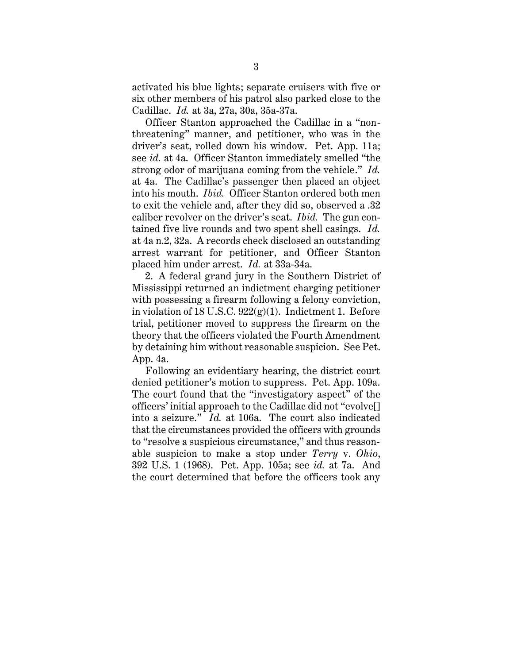activated his blue lights; separate cruisers with five or six other members of his patrol also parked close to the Cadillac. *Id.* at 3a, 27a, 30a, 35a-37a.

Officer Stanton approached the Cadillac in a "nonthreatening" manner, and petitioner, who was in the driver's seat, rolled down his window. Pet. App. 11a; see *id.* at 4a. Officer Stanton immediately smelled "the strong odor of marijuana coming from the vehicle." *Id.* at 4a. The Cadillac's passenger then placed an object into his mouth. *Ibid.* Officer Stanton ordered both men to exit the vehicle and, after they did so, observed a .32 caliber revolver on the driver's seat. *Ibid.* The gun contained five live rounds and two spent shell casings. *Id.* at 4a n.2, 32a. A records check disclosed an outstanding arrest warrant for petitioner, and Officer Stanton placed him under arrest. *Id.* at 33a-34a.

2. A federal grand jury in the Southern District of Mississippi returned an indictment charging petitioner with possessing a firearm following a felony conviction, in violation of 18 U.S.C.  $922(g)(1)$ . Indictment 1. Before trial, petitioner moved to suppress the firearm on the theory that the officers violated the Fourth Amendment by detaining him without reasonable suspicion. See Pet. App. 4a.

Following an evidentiary hearing, the district court denied petitioner's motion to suppress. Pet. App. 109a. The court found that the "investigatory aspect" of the officers' initial approach to the Cadillac did not "evolve[] into a seizure." *Id.* at 106a. The court also indicated that the circumstances provided the officers with grounds to "resolve a suspicious circumstance," and thus reasonable suspicion to make a stop under *Terry* v. *Ohio*, 392 U.S. 1 (1968). Pet. App. 105a; see *id.* at 7a. And the court determined that before the officers took any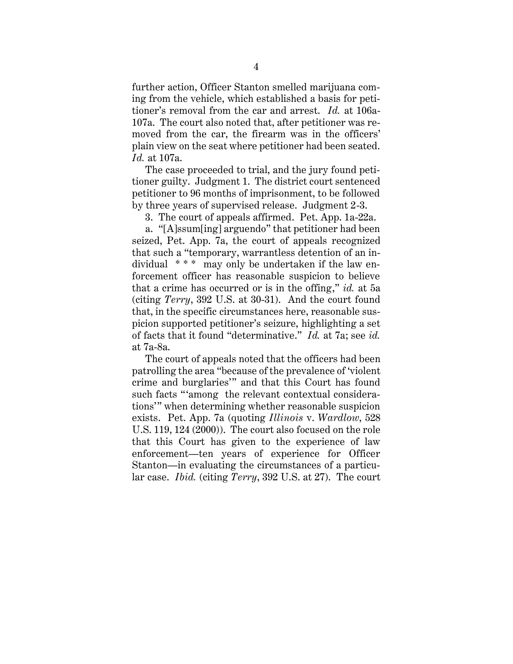further action, Officer Stanton smelled marijuana coming from the vehicle, which established a basis for petitioner's removal from the car and arrest. *Id.* at 106a-107a. The court also noted that, after petitioner was removed from the car, the firearm was in the officers' plain view on the seat where petitioner had been seated. *Id.* at 107a.

The case proceeded to trial, and the jury found petitioner guilty. Judgment 1. The district court sentenced petitioner to 96 months of imprisonment, to be followed by three years of supervised release. Judgment 2-3.

3. The court of appeals affirmed. Pet. App. 1a-22a.

a. "[A]ssum[ing] arguendo" that petitioner had been seized, Pet. App. 7a, the court of appeals recognized that such a "temporary, warrantless detention of an individual  $***$  may only be undertaken if the law enforcement officer has reasonable suspicion to believe that a crime has occurred or is in the offing," *id.* at 5a (citing *Terry*, 392 U.S. at 30-31). And the court found that, in the specific circumstances here, reasonable suspicion supported petitioner's seizure, highlighting a set of facts that it found "determinative." *Id.* at 7a; see *id.* at 7a-8a.

The court of appeals noted that the officers had been patrolling the area "because of the prevalence of 'violent crime and burglaries'" and that this Court has found such facts "'among the relevant contextual considerations'" when determining whether reasonable suspicion exists. Pet. App. 7a (quoting *Illinois* v. *Wardlow*, 528 U.S. 119, 124 (2000)). The court also focused on the role that this Court has given to the experience of law enforcement—ten years of experience for Officer Stanton—in evaluating the circumstances of a particular case. *Ibid.* (citing *Terry*, 392 U.S. at 27). The court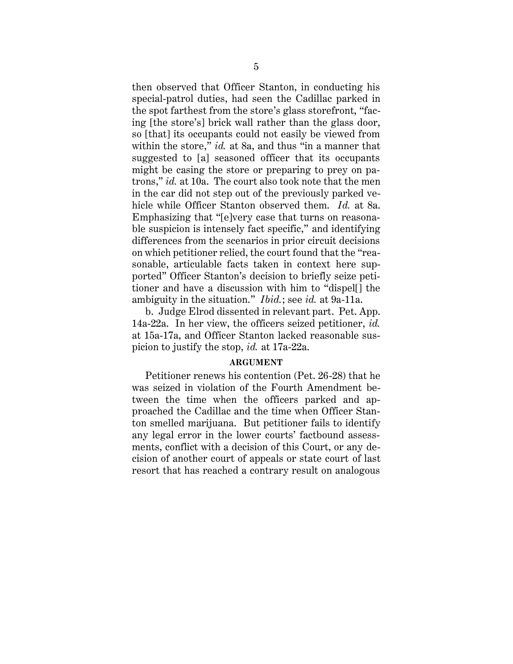then observed that Officer Stanton, in conducting his special-patrol duties, had seen the Cadillac parked in the spot farthest from the store's glass storefront, "facing [the store's] brick wall rather than the glass door, so [that] its occupants could not easily be viewed from within the store," *id.* at 8a, and thus "in a manner that suggested to [a] seasoned officer that its occupants might be casing the store or preparing to prey on patrons," *id.* at 10a. The court also took note that the men in the car did not step out of the previously parked vehicle while Officer Stanton observed them. *Id.* at 8a. Emphasizing that "[e]very case that turns on reasonable suspicion is intensely fact specific," and identifying differences from the scenarios in prior circuit decisions on which petitioner relied, the court found that the "reasonable, articulable facts taken in context here supported" Officer Stanton's decision to briefly seize petitioner and have a discussion with him to "dispel[] the ambiguity in the situation." *Ibid.*; see *id.* at 9a-11a.

b. Judge Elrod dissented in relevant part. Pet. App. 14a-22a. In her view, the officers seized petitioner, *id.* at 15a-17a, and Officer Stanton lacked reasonable suspicion to justify the stop, *id.* at 17a-22a.

#### **ARGUMENT**

<span id="page-8-0"></span>Petitioner renews his contention (Pet. 26-28) that he was seized in violation of the Fourth Amendment between the time when the officers parked and approached the Cadillac and the time when Officer Stanton smelled marijuana. But petitioner fails to identify any legal error in the lower courts' factbound assessments, conflict with a decision of this Court, or any decision of another court of appeals or state court of last resort that has reached a contrary result on analogous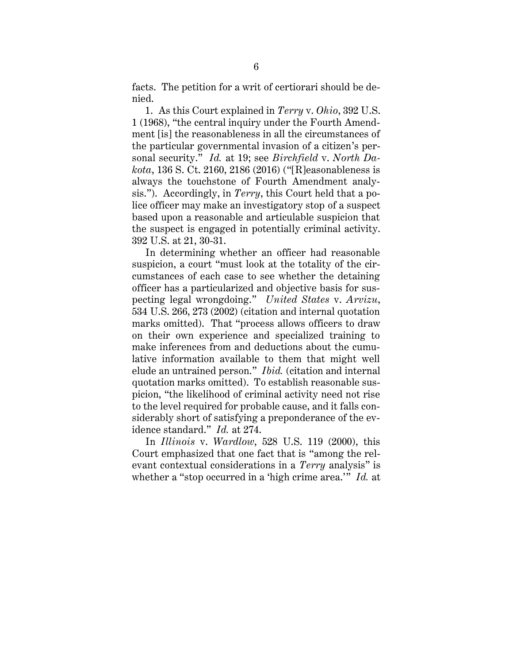facts. The petition for a writ of certiorari should be denied.

1. As this Court explained in *Terry* v. *Ohio*, 392 U.S. 1 (1968), "the central inquiry under the Fourth Amendment [is] the reasonableness in all the circumstances of the particular governmental invasion of a citizen's personal security." *Id.* at 19; see *Birchfield* v. *North Dakota*, 136 S. Ct. 2160, 2186 (2016) ("[R]easonableness is always the touchstone of Fourth Amendment analysis."). Accordingly, in *Terry*, this Court held that a police officer may make an investigatory stop of a suspect based upon a reasonable and articulable suspicion that the suspect is engaged in potentially criminal activity. 392 U.S. at 21, 30-31.

In determining whether an officer had reasonable suspicion, a court "must look at the totality of the circumstances of each case to see whether the detaining officer has a particularized and objective basis for suspecting legal wrongdoing." *United States* v. *Arvizu*, 534 U.S. 266, 273 (2002) (citation and internal quotation marks omitted). That "process allows officers to draw on their own experience and specialized training to make inferences from and deductions about the cumulative information available to them that might well elude an untrained person." *Ibid.* (citation and internal quotation marks omitted). To establish reasonable suspicion, "the likelihood of criminal activity need not rise to the level required for probable cause, and it falls considerably short of satisfying a preponderance of the evidence standard." *Id.* at 274.

In *Illinois* v. *Wardlow*, 528 U.S. 119 (2000), this Court emphasized that one fact that is "among the relevant contextual considerations in a *Terry* analysis" is whether a "stop occurred in a 'high crime area.'" *Id.* at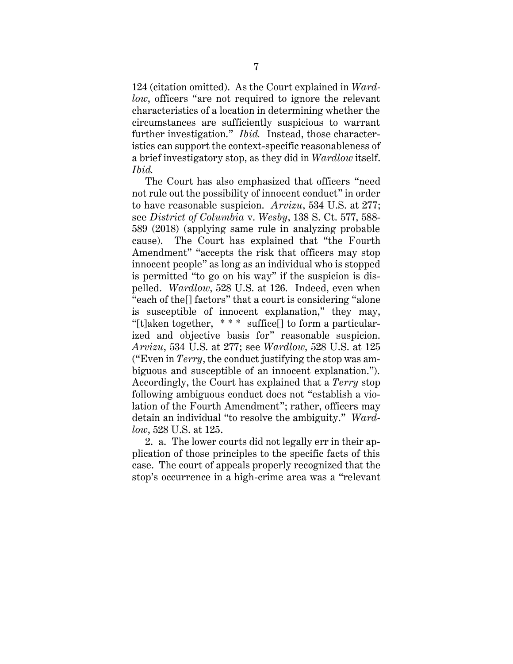124 (citation omitted). As the Court explained in *Wardlow*, officers "are not required to ignore the relevant characteristics of a location in determining whether the circumstances are sufficiently suspicious to warrant further investigation." *Ibid.* Instead, those characteristics can support the context-specific reasonableness of a brief investigatory stop, as they did in *Wardlow* itself. *Ibid.*

The Court has also emphasized that officers "need not rule out the possibility of innocent conduct" in order to have reasonable suspicion. *Arvizu*, 534 U.S. at 277; see *District of Columbia* v. *Wesby*, 138 S. Ct. 577, 588- 589 (2018) (applying same rule in analyzing probable cause). The Court has explained that "the Fourth Amendment" "accepts the risk that officers may stop innocent people" as long as an individual who is stopped is permitted "to go on his way" if the suspicion is dispelled. *Wardlow*, 528 U.S. at 126. Indeed, even when "each of the[] factors" that a court is considering "alone is susceptible of innocent explanation," they may, "[t]aken together,  $***$  suffice] to form a particularized and objective basis for" reasonable suspicion. *Arvizu*, 534 U.S. at 277; see *Wardlow*, 528 U.S. at 125 ("Even in *Terry*, the conduct justifying the stop was ambiguous and susceptible of an innocent explanation."). Accordingly, the Court has explained that a *Terry* stop following ambiguous conduct does not "establish a violation of the Fourth Amendment"; rather, officers may detain an individual "to resolve the ambiguity." *Wardlow*, 528 U.S. at 125.

2. a. The lower courts did not legally err in their application of those principles to the specific facts of this case. The court of appeals properly recognized that the stop's occurrence in a high-crime area was a "relevant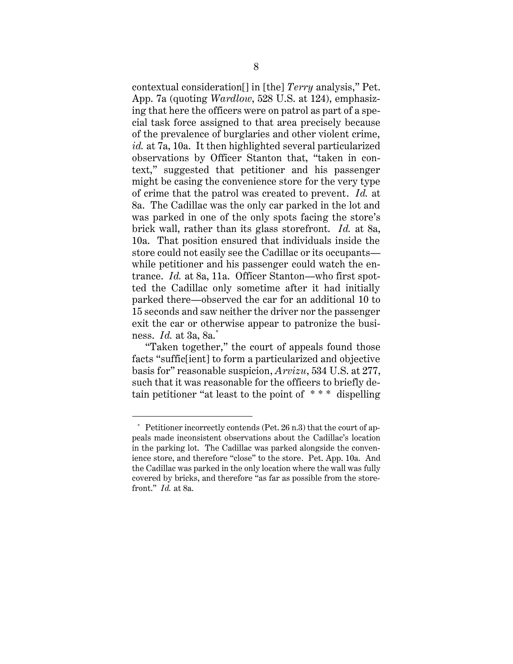contextual consideration[] in [the] *Terry* analysis," Pet. App. 7a (quoting *Wardlow*, 528 U.S. at 124), emphasizing that here the officers were on patrol as part of a special task force assigned to that area precisely because of the prevalence of burglaries and other violent crime, *id.* at 7a, 10a. It then highlighted several particularized observations by Officer Stanton that, "taken in context," suggested that petitioner and his passenger might be casing the convenience store for the very type of crime that the patrol was created to prevent. *Id.* at 8a. The Cadillac was the only car parked in the lot and was parked in one of the only spots facing the store's brick wall, rather than its glass storefront. *Id.* at 8a, 10a. That position ensured that individuals inside the store could not easily see the Cadillac or its occupants while petitioner and his passenger could watch the entrance. *Id.* at 8a, 11a. Officer Stanton—who first spotted the Cadillac only sometime after it had initially parked there—observed the car for an additional 10 to 15 seconds and saw neither the driver nor the passenger exit the car or otherwise appear to patronize the business. *Id.* at 3a, 8a.\*

"Taken together," the court of appeals found those facts "suffic[ient] to form a particularized and objective basis for" reasonable suspicion, *Arvizu*, 534 U.S. at 277, such that it was reasonable for the officers to briefly detain petitioner "at least to the point of \* \* \* dispelling

Petitioner incorrectly contends (Pet. 26 n.3) that the court of appeals made inconsistent observations about the Cadillac's location in the parking lot. The Cadillac was parked alongside the convenience store, and therefore "close" to the store. Pet. App. 10a. And the Cadillac was parked in the only location where the wall was fully covered by bricks, and therefore "as far as possible from the storefront." *Id.* at 8a.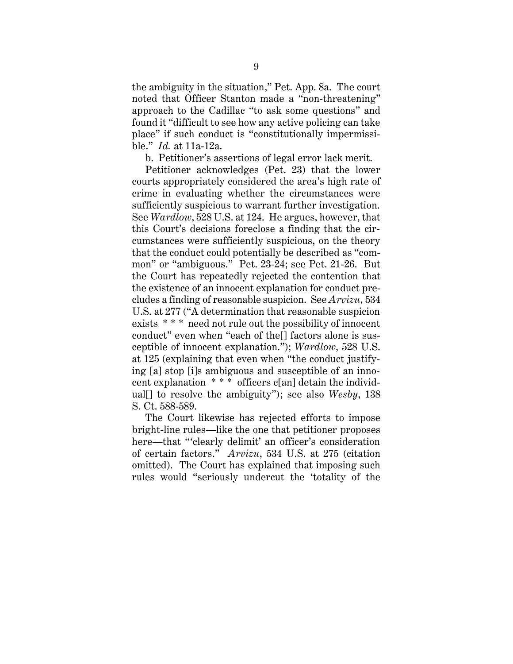the ambiguity in the situation," Pet. App. 8a. The court noted that Officer Stanton made a "non-threatening" approach to the Cadillac "to ask some questions" and found it "difficult to see how any active policing can take place" if such conduct is "constitutionally impermissible." *Id.* at 11a-12a.

b. Petitioner's assertions of legal error lack merit.

Petitioner acknowledges (Pet. 23) that the lower courts appropriately considered the area's high rate of crime in evaluating whether the circumstances were sufficiently suspicious to warrant further investigation. See *Wardlow*, 528 U.S. at 124. He argues, however, that this Court's decisions foreclose a finding that the circumstances were sufficiently suspicious, on the theory that the conduct could potentially be described as "common" or "ambiguous." Pet. 23-24; see Pet. 21-26. But the Court has repeatedly rejected the contention that the existence of an innocent explanation for conduct precludes a finding of reasonable suspicion. See *Arvizu*, 534 U.S. at 277 ("A determination that reasonable suspicion exists \* \* \* need not rule out the possibility of innocent conduct" even when "each of the[] factors alone is susceptible of innocent explanation."); *Wardlow*, 528 U.S. at 125 (explaining that even when "the conduct justifying [a] stop [i]s ambiguous and susceptible of an innocent explanation \* \* \* officers c[an] detain the individual[] to resolve the ambiguity"); see also *Wesby*, 138 S. Ct. 588-589.

The Court likewise has rejected efforts to impose bright-line rules—like the one that petitioner proposes here—that "'clearly delimit' an officer's consideration of certain factors." *Arvizu*, 534 U.S. at 275 (citation omitted). The Court has explained that imposing such rules would "seriously undercut the 'totality of the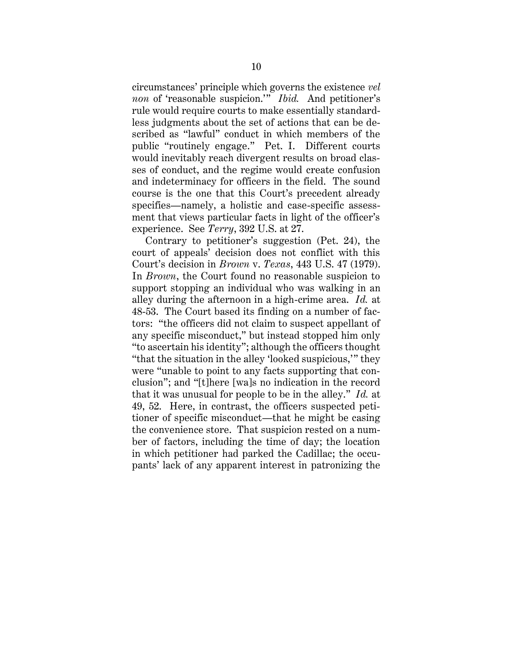circumstances' principle which governs the existence *vel non* of 'reasonable suspicion.'" *Ibid.* And petitioner's rule would require courts to make essentially standardless judgments about the set of actions that can be described as "lawful" conduct in which members of the public "routinely engage." Pet. I. Different courts would inevitably reach divergent results on broad classes of conduct, and the regime would create confusion and indeterminacy for officers in the field. The sound course is the one that this Court's precedent already specifies—namely, a holistic and case-specific assessment that views particular facts in light of the officer's experience. See *Terry*, 392 U.S. at 27.

Contrary to petitioner's suggestion (Pet. 24), the court of appeals' decision does not conflict with this Court's decision in *Brown* v. *Texas*, 443 U.S. 47 (1979). In *Brown*, the Court found no reasonable suspicion to support stopping an individual who was walking in an alley during the afternoon in a high-crime area. *Id.* at 48-53. The Court based its finding on a number of factors: "the officers did not claim to suspect appellant of any specific misconduct," but instead stopped him only "to ascertain his identity"; although the officers thought "that the situation in the alley 'looked suspicious,'" they were "unable to point to any facts supporting that conclusion"; and "[t]here [wa]s no indication in the record that it was unusual for people to be in the alley." *Id.* at 49, 52. Here, in contrast, the officers suspected petitioner of specific misconduct—that he might be casing the convenience store. That suspicion rested on a number of factors, including the time of day; the location in which petitioner had parked the Cadillac; the occupants' lack of any apparent interest in patronizing the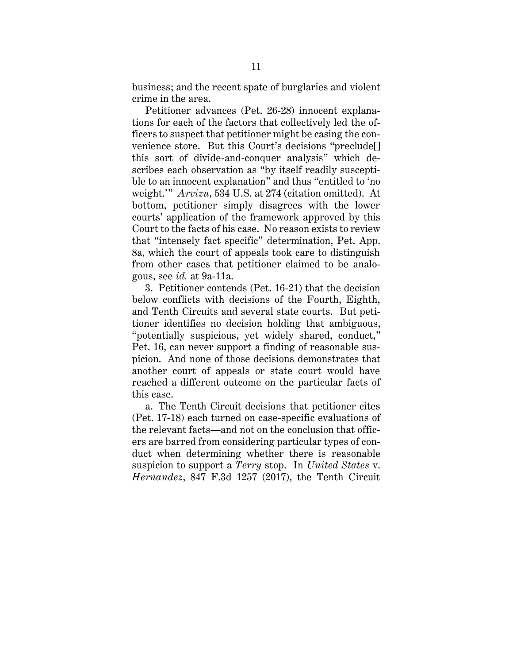business; and the recent spate of burglaries and violent crime in the area.

Petitioner advances (Pet. 26-28) innocent explanations for each of the factors that collectively led the officers to suspect that petitioner might be casing the convenience store. But this Court's decisions "preclude[] this sort of divide-and-conquer analysis" which describes each observation as "by itself readily susceptible to an innocent explanation" and thus "entitled to 'no weight.'" *Arvizu*, 534 U.S. at 274 (citation omitted). At bottom, petitioner simply disagrees with the lower courts' application of the framework approved by this Court to the facts of his case. No reason exists to review that "intensely fact specific" determination, Pet. App. 8a, which the court of appeals took care to distinguish from other cases that petitioner claimed to be analogous, see *id.* at 9a-11a.

3. Petitioner contends (Pet. 16-21) that the decision below conflicts with decisions of the Fourth, Eighth, and Tenth Circuits and several state courts. But petitioner identifies no decision holding that ambiguous, "potentially suspicious, yet widely shared, conduct," Pet. 16, can never support a finding of reasonable suspicion. And none of those decisions demonstrates that another court of appeals or state court would have reached a different outcome on the particular facts of this case.

a. The Tenth Circuit decisions that petitioner cites (Pet. 17-18) each turned on case-specific evaluations of the relevant facts—and not on the conclusion that officers are barred from considering particular types of conduct when determining whether there is reasonable suspicion to support a *Terry* stop. In *United States* v. *Hernandez*, 847 F.3d 1257 (2017), the Tenth Circuit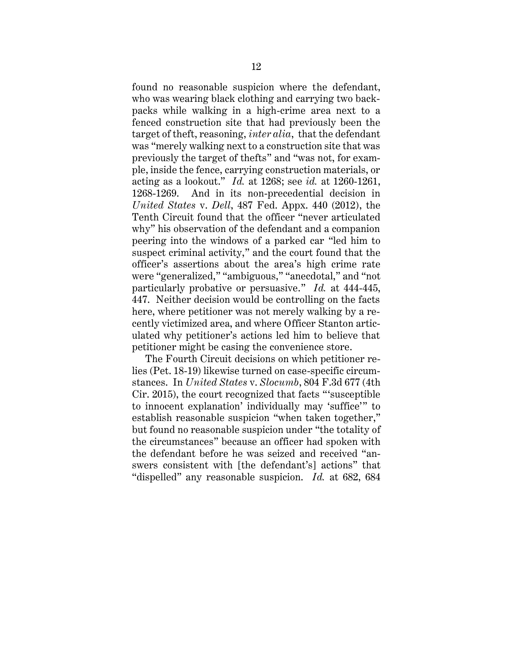found no reasonable suspicion where the defendant, who was wearing black clothing and carrying two backpacks while walking in a high-crime area next to a fenced construction site that had previously been the target of theft, reasoning, *inter alia*, that the defendant was "merely walking next to a construction site that was previously the target of thefts" and "was not, for example, inside the fence, carrying construction materials, or acting as a lookout." *Id.* at 1268; see *id.* at 1260-1261, 1268-1269. And in its non-precedential decision in *United States* v. *Dell*, 487 Fed. Appx. 440 (2012), the Tenth Circuit found that the officer "never articulated why" his observation of the defendant and a companion peering into the windows of a parked car "led him to suspect criminal activity," and the court found that the officer's assertions about the area's high crime rate were "generalized," "ambiguous," "anecdotal," and "not particularly probative or persuasive." *Id.* at 444-445, 447. Neither decision would be controlling on the facts here, where petitioner was not merely walking by a recently victimized area, and where Officer Stanton articulated why petitioner's actions led him to believe that petitioner might be casing the convenience store.

The Fourth Circuit decisions on which petitioner relies (Pet. 18-19) likewise turned on case-specific circumstances. In *United States* v. *Slocumb*, 804 F.3d 677 (4th Cir. 2015), the court recognized that facts "'susceptible to innocent explanation' individually may 'suffice'" to establish reasonable suspicion "when taken together," but found no reasonable suspicion under "the totality of the circumstances" because an officer had spoken with the defendant before he was seized and received "answers consistent with [the defendant's] actions" that "dispelled" any reasonable suspicion. *Id.* at 682, 684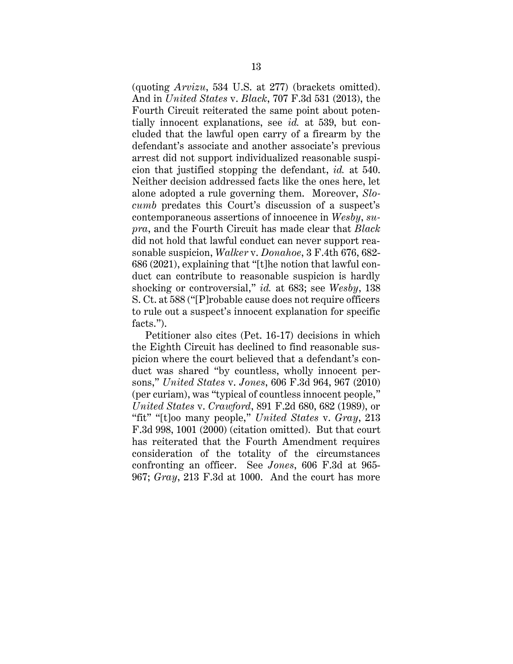(quoting *Arvizu*, 534 U.S. at 277) (brackets omitted). And in *United States* v. *Black*, 707 F.3d 531 (2013), the Fourth Circuit reiterated the same point about potentially innocent explanations, see *id.* at 539, but concluded that the lawful open carry of a firearm by the defendant's associate and another associate's previous arrest did not support individualized reasonable suspicion that justified stopping the defendant, *id.* at 540. Neither decision addressed facts like the ones here, let alone adopted a rule governing them. Moreover, *Slocumb* predates this Court's discussion of a suspect's contemporaneous assertions of innocence in *Wesby*, *supra*, and the Fourth Circuit has made clear that *Black* did not hold that lawful conduct can never support reasonable suspicion, *Walker* v. *Donahoe*, 3 F.4th 676, 682- 686 (2021), explaining that "[t]he notion that lawful conduct can contribute to reasonable suspicion is hardly shocking or controversial," *id.* at 683; see *Wesby*, 138 S. Ct. at 588 ("[P]robable cause does not require officers to rule out a suspect's innocent explanation for specific facts.").

Petitioner also cites (Pet. 16-17) decisions in which the Eighth Circuit has declined to find reasonable suspicion where the court believed that a defendant's conduct was shared "by countless, wholly innocent persons," *United States* v. *Jones*, 606 F.3d 964, 967 (2010) (per curiam), was "typical of countless innocent people," *United States* v. *Crawford*, 891 F.2d 680, 682 (1989), or "fit" "[t]oo many people," *United States* v. *Gray*, 213 F.3d 998, 1001 (2000) (citation omitted). But that court has reiterated that the Fourth Amendment requires consideration of the totality of the circumstances confronting an officer. See *Jones*, 606 F.3d at 965- 967; *Gray*, 213 F.3d at 1000. And the court has more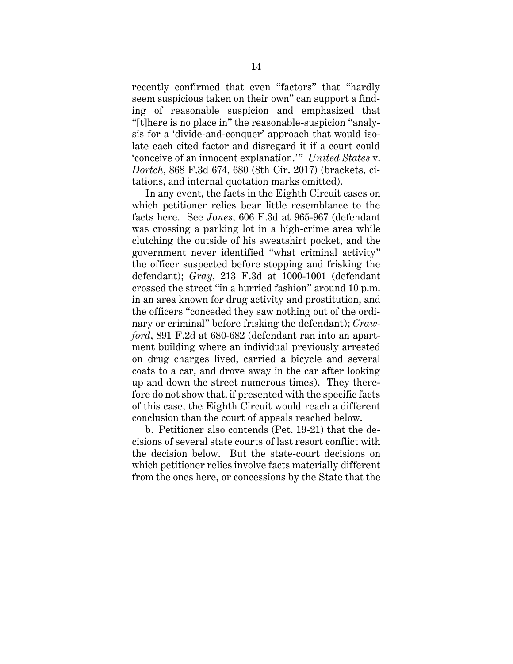recently confirmed that even "factors" that "hardly seem suspicious taken on their own" can support a finding of reasonable suspicion and emphasized that "[t]here is no place in" the reasonable-suspicion "analysis for a 'divide-and-conquer' approach that would isolate each cited factor and disregard it if a court could 'conceive of an innocent explanation.'" *United States* v. *Dortch*, 868 F.3d 674, 680 (8th Cir. 2017) (brackets, citations, and internal quotation marks omitted).

In any event, the facts in the Eighth Circuit cases on which petitioner relies bear little resemblance to the facts here. See *Jones*, 606 F.3d at 965-967 (defendant was crossing a parking lot in a high-crime area while clutching the outside of his sweatshirt pocket, and the government never identified "what criminal activity" the officer suspected before stopping and frisking the defendant); *Gray*, 213 F.3d at 1000-1001 (defendant crossed the street "in a hurried fashion" around 10 p.m. in an area known for drug activity and prostitution, and the officers "conceded they saw nothing out of the ordinary or criminal" before frisking the defendant); *Crawford*, 891 F.2d at 680-682 (defendant ran into an apartment building where an individual previously arrested on drug charges lived, carried a bicycle and several coats to a car, and drove away in the car after looking up and down the street numerous times). They therefore do not show that, if presented with the specific facts of this case, the Eighth Circuit would reach a different conclusion than the court of appeals reached below.

b. Petitioner also contends (Pet. 19-21) that the decisions of several state courts of last resort conflict with the decision below. But the state-court decisions on which petitioner relies involve facts materially different from the ones here, or concessions by the State that the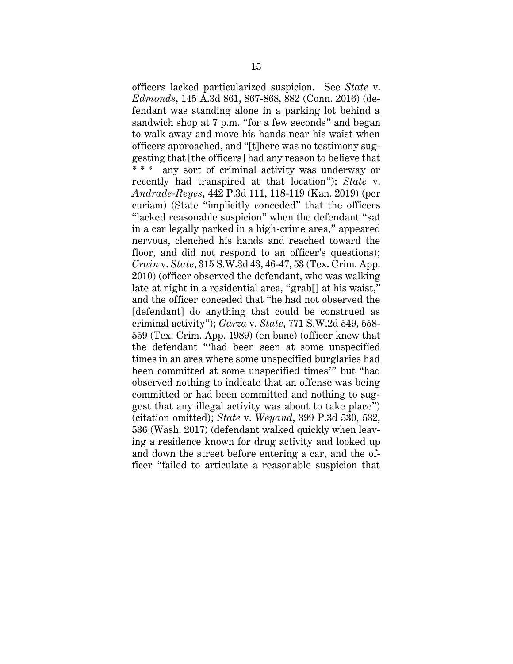officers lacked particularized suspicion. See *State* v. *Edmonds*, 145 A.3d 861, 867-868, 882 (Conn. 2016) (defendant was standing alone in a parking lot behind a sandwich shop at 7 p.m. "for a few seconds" and began to walk away and move his hands near his waist when officers approached, and "[t]here was no testimony suggesting that [the officers] had any reason to believe that \* \* \* any sort of criminal activity was underway or recently had transpired at that location"); *State* v. *Andrade-Reyes*, 442 P.3d 111, 118-119 (Kan. 2019) (per curiam) (State "implicitly conceded" that the officers "lacked reasonable suspicion" when the defendant "sat in a car legally parked in a high-crime area," appeared nervous, clenched his hands and reached toward the floor, and did not respond to an officer's questions); *Crain* v. *State*, 315 S.W.3d 43, 46-47, 53 (Tex. Crim. App. 2010) (officer observed the defendant, who was walking late at night in a residential area, "grab[] at his waist," and the officer conceded that "he had not observed the [defendant] do anything that could be construed as criminal activity"); *Garza* v. *State*, 771 S.W.2d 549, 558- 559 (Tex. Crim. App. 1989) (en banc) (officer knew that the defendant "'had been seen at some unspecified times in an area where some unspecified burglaries had been committed at some unspecified times'" but "had observed nothing to indicate that an offense was being committed or had been committed and nothing to suggest that any illegal activity was about to take place") (citation omitted); *State* v. *Weyand*, 399 P.3d 530, 532, 536 (Wash. 2017) (defendant walked quickly when leaving a residence known for drug activity and looked up and down the street before entering a car, and the officer "failed to articulate a reasonable suspicion that